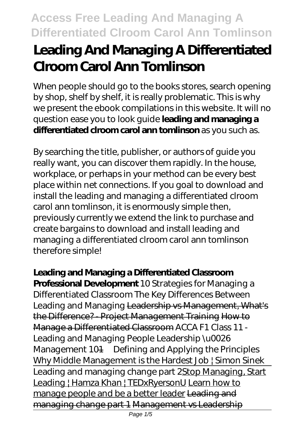# **Leading And Managing A Differentiated Clroom Carol Ann Tomlinson**

When people should go to the books stores, search opening by shop, shelf by shelf, it is really problematic. This is why we present the ebook compilations in this website. It will no question ease you to look guide **leading and managing a differentiated clroom carol ann tomlinson** as you such as.

By searching the title, publisher, or authors of guide you really want, you can discover them rapidly. In the house, workplace, or perhaps in your method can be every best place within net connections. If you goal to download and install the leading and managing a differentiated clroom carol ann tomlinson, it is enormously simple then, previously currently we extend the link to purchase and create bargains to download and install leading and managing a differentiated clroom carol ann tomlinson therefore simple!

**Leading and Managing a Differentiated Classroom Professional Development** 10 Strategies for Managing a Differentiated Classroom The Key Differences Between Leading and Managing Leadership vs Management, What's the Difference? - Project Management Training How to Manage a Differentiated Classroom *ACCA F1 Class 11 - Leading and Managing People Leadership \u0026 Management 101—Defining and Applying the Principles* Why Middle Management is the Hardest Job | Simon Sinek Leading and managing change part 2Stop Managing, Start Leading | Hamza Khan | TEDxRyersonU Learn how to manage people and be a better leader Leading and managing change part 1 Management vs Leadership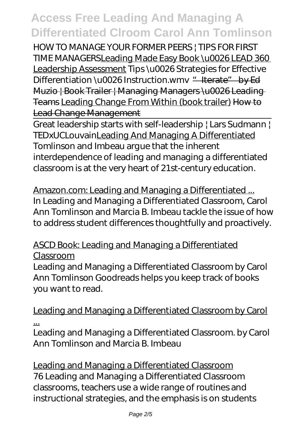HOW TO MANAGE YOUR FORMER PEERS | TIPS FOR FIRST TIME MANAGERSLeading Made Easy Book \u0026 LEAD 360 Leadership Assessment *Tips \u0026 Strategies for Effective* Differentiation\u0026 Instruction.wmv "<del>Iterate" by Ed</del> Muzio | Book Trailer | Managing Managers \u0026 Leading Teams Leading Change From Within (book trailer) How to Lead Change Management

Great leadership starts with self-leadership | Lars Sudmann | TEDxUCLouvainLeading And Managing A Differentiated Tomlinson and Imbeau argue that the inherent interdependence of leading and managing a differentiated classroom is at the very heart of 21st-century education.

Amazon.com: Leading and Managing a Differentiated ... In Leading and Managing a Differentiated Classroom, Carol Ann Tomlinson and Marcia B. Imbeau tackle the issue of how to address student differences thoughtfully and proactively.

#### ASCD Book: Leading and Managing a Differentiated Classroom

Leading and Managing a Differentiated Classroom by Carol Ann Tomlinson Goodreads helps you keep track of books you want to read.

Leading and Managing a Differentiated Classroom by Carol ...

Leading and Managing a Differentiated Classroom. by Carol Ann Tomlinson and Marcia B. Imbeau

Leading and Managing a Differentiated Classroom 76 Leading and Managing a Differentiated Classroom classrooms, teachers use a wide range of routines and instructional strategies, and the emphasis is on students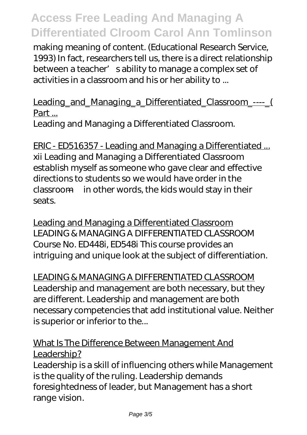making meaning of content. (Educational Research Service, 1993) In fact, researchers tell us, there is a direct relationship between a teacher' sability to manage a complex set of activities in a classroom and his or her ability to ...

Leading and Managing a Differentiated Classroom ---- ( Part ...

Leading and Managing a Differentiated Classroom.

ERIC - ED516357 - Leading and Managing a Differentiated ... xii Leading and Managing a Differentiated Classroom establish myself as someone who gave clear and effective directions to students so we would have order in the classroom—in other words, the kids would stay in their seats.

Leading and Managing a Differentiated Classroom LEADING & MANAGING A DIFFERENTIATED CLASSROOM Course No. ED448i, ED548i This course provides an intriguing and unique look at the subject of differentiation.

LEADING & MANAGING A DIFFERENTIATED CLASSROOM Leadership and management are both necessary, but they are different. Leadership and management are both necessary competencies that add institutional value. Neither is superior or inferior to the...

#### What Is The Difference Between Management And Leadership?

Leadership is a skill of influencing others while Management is the quality of the ruling. Leadership demands foresightedness of leader, but Management has a short range vision.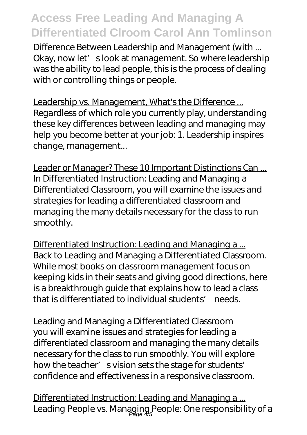Difference Between Leadership and Management (with ... Okay, now let' slook at management. So where leadership was the ability to lead people, this is the process of dealing with or controlling things or people.

Leadership vs. Management, What's the Difference ... Regardless of which role you currently play, understanding these key differences between leading and managing may help you become better at your job: 1. Leadership inspires change, management...

Leader or Manager? These 10 Important Distinctions Can ... In Differentiated Instruction: Leading and Managing a Differentiated Classroom, you will examine the issues and strategies for leading a differentiated classroom and managing the many details necessary for the class to run smoothly.

Differentiated Instruction: Leading and Managing a ... Back to Leading and Managing a Differentiated Classroom. While most books on classroom management focus on keeping kids in their seats and giving good directions, here is a breakthrough guide that explains how to lead a class that is differentiated to individual students' needs.

Leading and Managing a Differentiated Classroom you will examine issues and strategies for leading a differentiated classroom and managing the many details necessary for the class to run smoothly. You will explore how the teacher' svision sets the stage for students' confidence and effectiveness in a responsive classroom.

Differentiated Instruction: Leading and Managing a ... Leading People vs. Managing People: One responsibility of a